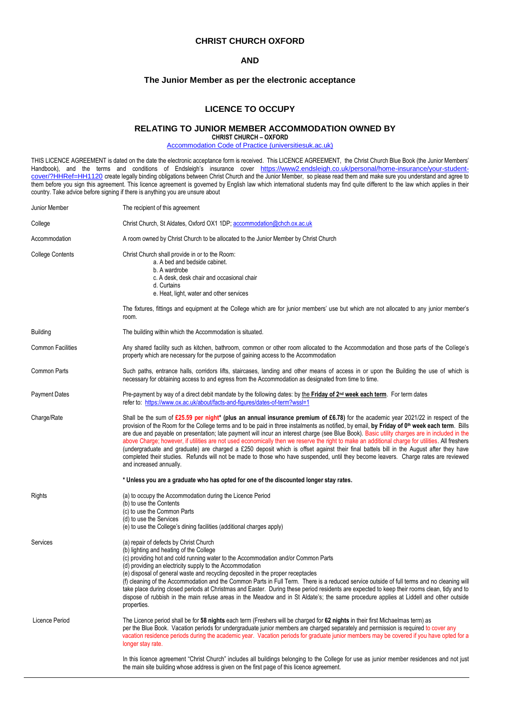## **CHRIST CHURCH OXFORD**

# **AND**

# **The Junior Member as per the electronic acceptance**

# **LICENCE TO OCCUPY**

# **RELATING TO JUNIOR MEMBER ACCOMMODATION OWNED BY**

**CHRIST CHURCH – OXFORD**

[Accommodation Code of Practice \(universitiesuk.ac.uk\)](https://www.universitiesuk.ac.uk/policy-and-analysis/Pages/accommodation-code-of-practice.aspx)

THIS LICENCE AGREEMENT is dated on the date the electronic acceptance form is received. This LICENCE AGREEMENT, the Christ Church Blue Book (the Junior Members' Handbook), and the terms and conditions of Endsleigh's insurance cover [https://www2.endsleigh.co.uk/personal/home-insurance/your-student](https://www2.endsleigh.co.uk/personal/home-insurance/your-student-cover/?HHRef=HH1120)[cover/?HHRef=HH1120](https://www2.endsleigh.co.uk/personal/home-insurance/your-student-cover/?HHRef=HH1120) create legally binding obligations between Christ Church and the Junior Member, so please read them and make sure you understand and agree to them before you sign this agreement. This licence agreement is governed by English law which international students may find quite different to the law which applies in their country. Take advice before signing if there is anything you are unsure about

| Junior Member            | The recipient of this agreement                                                                                                                                                                                                                                                                                                                                                                                                                                                                                                                                                                                                                                                                                                                                                                                                                                                                                 |
|--------------------------|-----------------------------------------------------------------------------------------------------------------------------------------------------------------------------------------------------------------------------------------------------------------------------------------------------------------------------------------------------------------------------------------------------------------------------------------------------------------------------------------------------------------------------------------------------------------------------------------------------------------------------------------------------------------------------------------------------------------------------------------------------------------------------------------------------------------------------------------------------------------------------------------------------------------|
| College                  | Christ Church, St Aldates, Oxford OX1 1DP; accommodation@chch.ox.ac.uk                                                                                                                                                                                                                                                                                                                                                                                                                                                                                                                                                                                                                                                                                                                                                                                                                                          |
| Accommodation            | A room owned by Christ Church to be allocated to the Junior Member by Christ Church                                                                                                                                                                                                                                                                                                                                                                                                                                                                                                                                                                                                                                                                                                                                                                                                                             |
| <b>College Contents</b>  | Christ Church shall provide in or to the Room:<br>a. A bed and bedside cabinet.<br>b. A wardrobe<br>c. A desk, desk chair and occasional chair<br>d. Curtains<br>e. Heat, light, water and other services<br>The fixtures, fittings and equipment at the College which are for junior members' use but which are not allocated to any junior member's<br>room.                                                                                                                                                                                                                                                                                                                                                                                                                                                                                                                                                  |
| <b>Building</b>          | The building within which the Accommodation is situated.                                                                                                                                                                                                                                                                                                                                                                                                                                                                                                                                                                                                                                                                                                                                                                                                                                                        |
| <b>Common Facilities</b> | Any shared facility such as kitchen, bathroom, common or other room allocated to the Accommodation and those parts of the College's<br>property which are necessary for the purpose of gaining access to the Accommodation                                                                                                                                                                                                                                                                                                                                                                                                                                                                                                                                                                                                                                                                                      |
| <b>Common Parts</b>      | Such paths, entrance halls, corridors lifts, staircases, landing and other means of access in or upon the Building the use of which is<br>necessary for obtaining access to and egress from the Accommodation as designated from time to time.                                                                                                                                                                                                                                                                                                                                                                                                                                                                                                                                                                                                                                                                  |
| <b>Payment Dates</b>     | Pre-payment by way of a direct debit mandate by the following dates: by the Friday of 2 <sup>nd</sup> week each term. For term dates<br>refer to: https://www.ox.ac.uk/about/facts-and-figures/dates-of-term?wssl=1                                                                                                                                                                                                                                                                                                                                                                                                                                                                                                                                                                                                                                                                                             |
| Charge/Rate              | Shall be the sum of £25.59 per night* (plus an annual insurance premium of £6.78) for the academic year 2021/22 in respect of the<br>provision of the Room for the College terms and to be paid in three instalments as notified, by email, by Friday of 0 <sup>th</sup> week each term. Bills<br>are due and payable on presentation; late payment will incur an interest charge (see Blue Book). Basic utility charges are in included in the<br>above Charge; however, if utilities are not used economically then we reserve the right to make an additional charge for utilities. All freshers<br>(undergraduate and graduate) are charged a £250 deposit which is offset against their final battels bill in the August after they have<br>completed their studies. Refunds will not be made to those who have suspended, until they become leavers. Charge rates are reviewed<br>and increased annually. |
|                          | * Unless you are a graduate who has opted for one of the discounted longer stay rates.                                                                                                                                                                                                                                                                                                                                                                                                                                                                                                                                                                                                                                                                                                                                                                                                                          |
| Rights                   | (a) to occupy the Accommodation during the Licence Period<br>(b) to use the Contents<br>(c) to use the Common Parts<br>(d) to use the Services<br>(e) to use the College's dining facilities (additional charges apply)                                                                                                                                                                                                                                                                                                                                                                                                                                                                                                                                                                                                                                                                                         |
| Services                 | (a) repair of defects by Christ Church<br>(b) lighting and heating of the College<br>(c) providing hot and cold running water to the Accommodation and/or Common Parts<br>(d) providing an electricity supply to the Accommodation<br>(e) disposal of general waste and recycling deposited in the proper receptacles<br>(f) cleaning of the Accommodation and the Common Parts in Full Term. There is a reduced service outside of full terms and no cleaning will<br>take place during closed periods at Christmas and Easter. During these period residents are expected to keep their rooms clean, tidy and to<br>dispose of rubbish in the main refuse areas in the Meadow and in St Aldate's; the same procedure applies at Liddell and other outside<br>properties.                                                                                                                                      |
| Licence Period           | The Licence period shall be for 58 nights each term (Freshers will be charged for 62 nights in their first Michaelmas term) as<br>per the Blue Book. Vacation periods for undergraduate junior members are charged separately and permission is required to cover any<br>vacation residence periods during the academic year. Vacation periods for graduate junior members may be covered if you have opted for a<br>longer stay rate.                                                                                                                                                                                                                                                                                                                                                                                                                                                                          |
|                          | In this licence agreement "Christ Church" includes all buildings belonging to the College for use as junior member residences and not just<br>the main site building whose address is given on the first page of this licence agreement.                                                                                                                                                                                                                                                                                                                                                                                                                                                                                                                                                                                                                                                                        |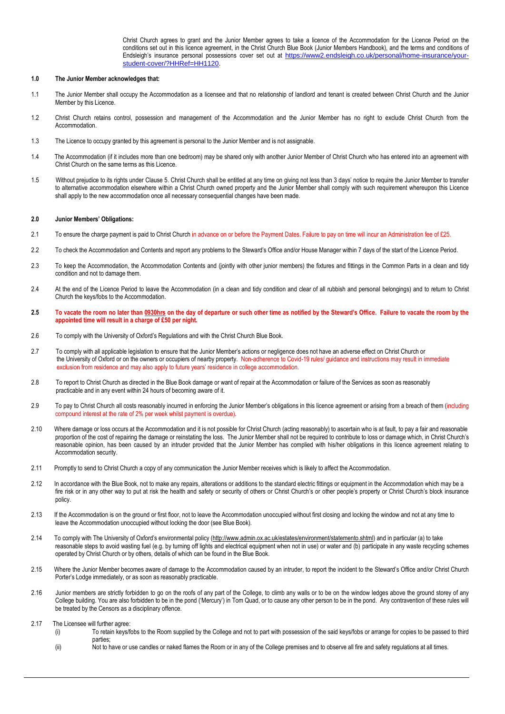Christ Church agrees to grant and the Junior Member agrees to take a licence of the Accommodation for the Licence Period on the conditions set out in this licence agreement, in the Christ Church Blue Book (Junior Members Handbook), and the terms and conditions of Endsleigh's insurance personal possessions cover set out at [https://www2.endsleigh.co.uk/personal/home-insurance/your](https://www2.endsleigh.co.uk/personal/home-insurance/your-student-cover/?HHRef=HH1120)[student-cover/?HHRef=HH1120.](https://www2.endsleigh.co.uk/personal/home-insurance/your-student-cover/?HHRef=HH1120)

## **1.0 The Junior Member acknowledges that:**

- 1.1 The Junior Member shall occupy the Accommodation as a licensee and that no relationship of landlord and tenant is created between Christ Church and the Junior Member by this Licence.
- 1.2 Christ Church retains control, possession and management of the Accommodation and the Junior Member has no right to exclude Christ Church from the Accommodation.
- 1.3 The Licence to occupy granted by this agreement is personal to the Junior Member and is not assignable.
- 1.4 The Accommodation (if it includes more than one bedroom) may be shared only with another Junior Member of Christ Church who has entered into an agreement with Christ Church on the same terms as this Licence.
- 1.5 Without prejudice to its rights under Clause 5. Christ Church shall be entitled at any time on giving not less than 3 days' notice to require the Junior Member to transfer to alternative accommodation elsewhere within a Christ Church owned property and the Junior Member shall comply with such requirement whereupon this Licence shall apply to the new accommodation once all necessary consequential changes have been made.

### **2.0 Junior Members' Obligations:**

- 2.1 To ensure the charge payment is paid to Christ Church in advance on or before the Payment Dates. Failure to pay on time will incur an Administration fee of £25.
- 2.2 To check the Accommodation and Contents and report any problems to the Steward's Office and/or House Manager within 7 days of the start of the Licence Period.
- 2.3 To keep the Accommodation, the Accommodation Contents and (jointly with other junior members) the fixtures and fittings in the Common Parts in a clean and tidy condition and not to damage them.
- 2.4 At the end of the Licence Period to leave the Accommodation (in a clean and tidy condition and clear of all rubbish and personal belongings) and to return to Christ Church the keys/fobs to the Accommodation.
- **2.5 To vacate the room no later than 0930hrs on the day of departure or such other time as notified by the Steward's Office. Failure to vacate the room by the appointed time will result in a charge of £50 per night.**
- 2.6 To comply with the University of Oxford's Regulations and with the Christ Church Blue Book.
- 2.7 To comply with all applicable legislation to ensure that the Junior Member's actions or negligence does not have an adverse effect on Christ Church or the University of Oxford or on the owners or occupiers of nearby property. Non-adherence to Covid-19 rules/ guidance and instructions may result in immediate exclusion from residence and may also apply to future years' residence in college accommodation.
- 2.8 To report to Christ Church as directed in the Blue Book damage or want of repair at the Accommodation or failure of the Services as soon as reasonably practicable and in any event within 24 hours of becoming aware of it.
- 2.9 To pay to Christ Church all costs reasonably incurred in enforcing the Junior Member's obligations in this licence agreement or arising from a breach of them (including compound interest at the rate of 2% per week whilst payment is overdue).
- 2.10 Where damage or loss occurs at the Accommodation and it is not possible for Christ Church (acting reasonably) to ascertain who is at fault, to pay a fair and reasonable proportion of the cost of repairing the damage or reinstating the loss. The Junior Member shall not be required to contribute to loss or damage which, in Christ Church's reasonable opinion, has been caused by an intruder provided that the Junior Member has complied with his/her obligations in this licence agreement relating to Accommodation security.
- 2.11 Promptly to send to Christ Church a copy of any communication the Junior Member receives which is likely to affect the Accommodation.
- 2.12 In accordance with the Blue Book, not to make any repairs, alterations or additions to the standard electric fittings or equipment in the Accommodation which may be a fire risk or in any other way to put at risk the health and safety or security of others or Christ Church's or other people's property or Christ Church's block insurance policy.
- 2.13 If the Accommodation is on the ground or first floor, not to leave the Accommodation unoccupied without first closing and locking the window and not at any time to leave the Accommodation unoccupied without locking the door (see Blue Book).
- 2.14 To comply with The University of Oxford's environmental policy ([http://www.admin.ox.ac.uk/estates/environment/statemento.shtml\)](http://www.admin.ox.ac.uk/estates/environment/statemento.shtml) and in particular (a) to take reasonable steps to avoid wasting fuel (e.g. by turning off lights and electrical equipment when not in use) or water and (b) participate in any waste recycling schemes operated by Christ Church or by others, details of which can be found in the Blue Book.
- 2.15 Where the Junior Member becomes aware of damage to the Accommodation caused by an intruder, to report the incident to the Steward's Office and/or Christ Church Porter's Lodge immediately, or as soon as reasonably practicable.
- 2.16 Junior members are strictly forbidden to go on the roofs of any part of the College, to climb any walls or to be on the window ledges above the ground storey of any College building. You are also forbidden to be in the pond ('Mercury') in Tom Quad, or to cause any other person to be in the pond. Any contravention of these rules will be treated by the Censors as a disciplinary offence.
- 2.17 The Licensee will further agree:
	- (i) To retain keys/fobs to the Room supplied by the College and not to part with possession of the said keys/fobs or arrange for copies to be passed to third parties;
	- (ii) Not to have or use candles or naked flames the Room or in any of the College premises and to observe all fire and safety regulations at all times.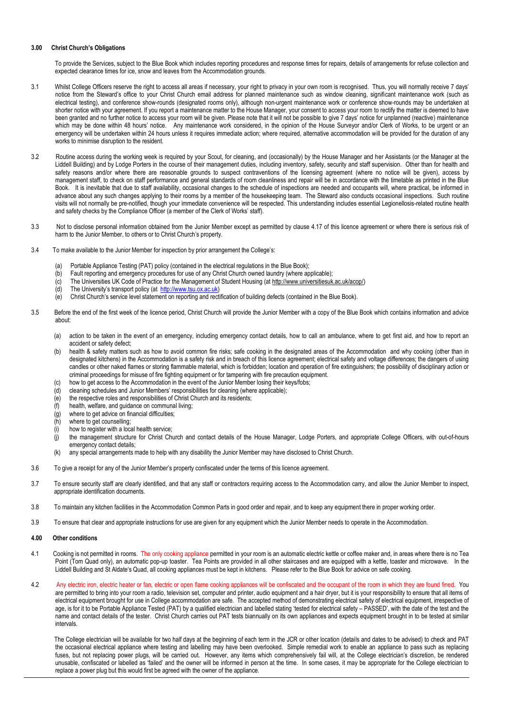#### **3.00 Christ Church's Obligations**

To provide the Services, subject to the Blue Book which includes reporting procedures and response times for repairs, details of arrangements for refuse collection and expected clearance times for ice, snow and leaves from the Accommodation grounds.

- 3.1 Whilst College Officers reserve the right to access all areas if necessary, your right to privacy in your own room is recognised. Thus, you will normally receive 7 days' notice from the Steward's office to your Christ Church email address for planned maintenance such as window cleaning, significant maintenance work (such as electrical testing), and conference show-rounds (designated rooms only), although non-urgent maintenance work or conference show-rounds may be undertaken at shorter notice with your agreement. If you report a maintenance matter to the House Manager, your consent to access your room to rectify the matter is deemed to have been granted and no further notice to access your room will be given. Please note that it will not be possible to give 7 days' notice for unplanned (reactive) maintenance which may be done within 48 hours' notice. Any maintenance work considered, in the opinion of the House Surveyor and/or Clerk of Works, to be urgent or an emergency will be undertaken within 24 hours unless it requires immediate action; where required, alternative accommodation will be provided for the duration of any works to minimise disruption to the resident.
- 3.2 Routine access during the working week is required by your Scout, for cleaning, and (occasionally) by the House Manager and her Assistants (or the Manager at the Liddell Building) and by Lodge Porters in the course of their management duties, including inventory, safety, security and staff supervision. Other than for health and safety reasons and/or where there are reasonable grounds to suspect contraventions of the licensing agreement (where no notice will be given), access by management staff, to check on staff performance and general standards of room cleanliness and repair will be in accordance with the timetable as printed in the Blue Book. It is inevitable that due to staff availability, occasional changes to the schedule of inspections are needed and occupants will, where practical, be informed in advance about any such changes applying to their rooms by a member of the housekeeping team. The Steward also conducts occasional inspections. Such routine visits will not normally be pre-notified, though your immediate convenience will be respected. This understanding includes essential Legionellosis-related routine health and safety checks by the Compliance Officer (a member of the Clerk of Works' staff).
- 3.3 Not to disclose personal information obtained from the Junior Member except as permitted by clause 4.17 of this licence agreement or where there is serious risk of harm to the Junior Member, to others or to Christ Church's property.
- 3.4 To make available to the Junior Member for inspection by prior arrangement the College's:
	-
	- (a) Portable Appliance Testing (PAT) policy (contained in the electrical regulations in the Blue Book);<br>(b) Fault reporting and emergency procedures for use of any Christ Church owned laundry (where ap (b) Fault reporting and emergency procedures for use of any Christ Church owned laundry (where applicable);<br>(c) The Universities UK Code of Practice for the Management of Student Housing (at http://www.universitiesuk
	- The Universities UK Code of Practice for the Management of Student Housing (at http://www.universitiesuk.ac.uk/acop/)
	- (d) The University's transport policy (at [http://www.tsu.ox.ac.uk\)](http://www.tsu.ox.ac.uk/)
	- (e) Christ Church's service level statement on reporting and rectification of building defects (contained in the Blue Book).
- 3.5 Before the end of the first week of the licence period, Christ Church will provide the Junior Member with a copy of the Blue Book which contains information and advice about:
	- (a) action to be taken in the event of an emergency, including emergency contact details, how to call an ambulance, where to get first aid, and how to report an accident or safety defect;
	- (b) health & safety matters such as how to avoid common fire risks; safe cooking in the designated areas of the Accommodation and why cooking (other than in designated kitchens) in the Accommodation is a safety risk and in breach of this licence agreement; electrical safety and voltage differences; the dangers of using candles or other naked flames or storing flammable material, which is forbidden; location and operation of fire extinguishers; the possibility of disciplinary action or criminal proceedings for misuse of fire fighting equipment or for tampering with fire precaution equipment.
	- (c) how to get access to the Accommodation in the event of the Junior Member losing their keys/fobs;
	- (d) cleaning schedules and Junior Members' responsibilities for cleaning (where applicable);
	- (e) the respective roles and responsibilities of Christ Church and its residents;
	- (f) health, welfare, and guidance on communal living;
	- (g) where to get advice on financial difficulties;
	- (h) where to get counselling;
	- (i) how to register with a local health service;
	- (j) the management structure for Christ Church and contact details of the House Manager, Lodge Porters, and appropriate College Officers, with out-of-hours emergency contact details;
	- (k) any special arrangements made to help with any disability the Junior Member may have disclosed to Christ Church.
- 3.6 To give a receipt for any of the Junior Member's property confiscated under the terms of this licence agreement.
- 3.7 To ensure security staff are clearly identified, and that any staff or contractors requiring access to the Accommodation carry, and allow the Junior Member to inspect, appropriate identification documents.
- 3.8 To maintain any kitchen facilities in the Accommodation Common Parts in good order and repair, and to keep any equipment there in proper working order.
- 3.9 To ensure that clear and appropriate instructions for use are given for any equipment which the Junior Member needs to operate in the Accommodation.
- **4.00 Other conditions**
- 4.1 Cooking is not permitted in rooms. The only cooking appliance permitted in your room is an automatic electric kettle or coffee maker and, in areas where there is no Tea Point (Tom Quad only), an automatic pop-up toaster. Tea Points are provided in all other staircases and are equipped with a kettle, toaster and microwave. In the Liddell Building and St Aldate's Quad, all cooking appliances must be kept in kitchens. Please refer to the Blue Book for advice on safe cooking.
- 4.2 Any electric iron, electric heater or fan, electric or open flame cooking appliances will be confiscated and the occupant of the room in which they are found fined. You are permitted to bring into your room a radio, television set, computer and printer, audio equipment and a hair dryer, but it is your responsibility to ensure that all items of electrical equipment brought for use in College accommodation are safe. The accepted method of demonstrating electrical safety of electrical equipment, irrespective of age, is for it to be Portable Appliance Tested (PAT) by a qualified electrician and labelled stating 'tested for electrical safety – PASSED', with the date of the test and the name and contact details of the tester. Christ Church carries out PAT tests biannually on its own appliances and expects equipment brought in to be tested at similar intervals.

 The College electrician will be available for two half days at the beginning of each term in the JCR or other location (details and dates to be advised) to check and PAT the occasional electrical appliance where testing and labelling may have been overlooked. Simple remedial work to enable an appliance to pass such as replacing fuses, but not replacing power plugs, will be carried out. However, any items which comprehensively fail will, at the College electrician's discretion, be rendered unusable, confiscated or labelled as 'failed' and the owner will be informed in person at the time. In some cases, it may be appropriate for the College electrician to replace a power plug but this would first be agreed with the owner of the appliance.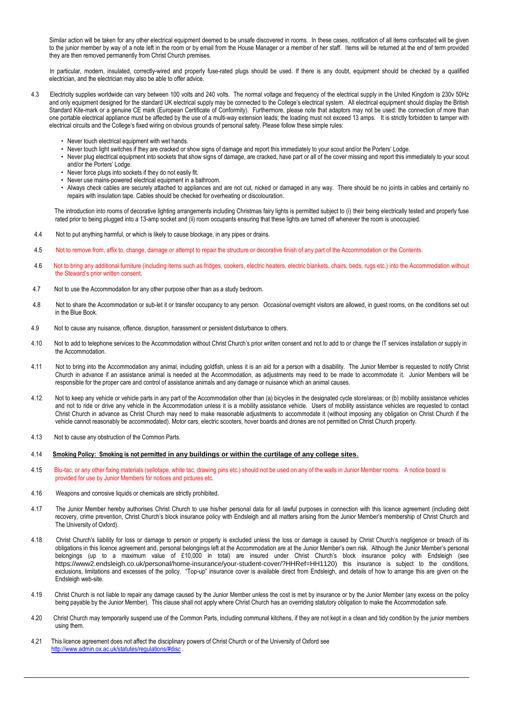Similar action will be taken for any other electrical equipment deemed to be unsafe discovered in rooms. In these cases, notification of all items confiscated will be given to the junior member by way of a note left in the room or by email from the House Manager or a member of her staff. Items will be returned at the end of term provided they are then removed permanently from Christ Church premises.

 In particular, modern, insulated, correctly-wired and properly fuse-rated plugs should be used. If there is any doubt, equipment should be checked by a qualified electrician, and the electrician may also be able to offer advice.

4.3 Electricity supplies worldwide can vary between 100 volts and 240 volts. The normal voltage and frequency of the electrical supply in the United Kingdom is 230v 50Hz and only equipment designed for the standard UK electrical supply may be connected to the College's electrical system. All electrical equipment should display the British Standard Kite-mark or a genuine CE mark (European Certificate of Conformity). Furthermore, please note that adaptors may not be used: the connection of more than one portable electrical appliance must be affected by the use of a multi-way extension leads; the loading must not exceed 13 amps. It is strictly forbidden to tamper with electrical circuits and the College's fixed wiring on obvious grounds of personal safety. Please follow these simple rules:

- Never touch electrical equipment with wet hands.
- Never touch light switches if they are cracked or show signs of damage and report this immediately to your scout and/or the Porters' Lodge.
- Never plug electrical equipment into sockets that show signs of damage, are cracked, have part or all of the cover missing and report this immediately to your scout and/or the Porters' Lodge.
- Never force plugs into sockets if they do not easily fit.
- Never use mains-powered electrical equipment in a bathroom.
- Always check cables are securely attached to appliances and are not cut, nicked or damaged in any way. There should be no joints in cables and certainly no repairs with insulation tape. Cables should be checked for overheating or discolouration.

 The introduction into rooms of decorative lighting arrangements including Christmas fairy lights is permitted subject to (i) their being electrically tested and properly fuse rated prior to being plugged into a 13-amp socket and (ii) room occupants ensuring that these lights are turned off whenever the room is unoccupied.

- 4.4 Not to put anything harmful, or which is likely to cause blockage, in any pipes or drains.
- 4.5 Not to remove from, affix to, change, damage or attempt to repair the structure or decorative finish of any part of the Accommodation or the Contents.
- 4.6 Not to bring any additional furniture (including items such as fridges, cookers, electric heaters, electric blankets, chairs, beds, rugs etc.) into the Accommodation without the Steward's prior written consent.
- 4.7 Not to use the Accommodation for any other purpose other than as a study bedroom.
- 4.8 Not to share the Accommodation or sub-let it or transfer occupancy to any person. *Occasional* overnight visitors are allowed, in guest rooms, on the conditions set out in the Blue Book.
- 4.9 Not to cause any nuisance, offence, disruption, harassment or persistent disturbance to others.
- 4.10 Not to add to telephone services to the Accommodation without Christ Church's prior written consent and not to add to or change the IT services installation or supply in the Accommodation.
- 4.11 Not to bring into the Accommodation any animal, including goldfish, unless it is an aid for a person with a disability. The Junior Member is requested to notify Christ Church in advance if an assistance animal is needed at the Accommodation, as adjustments may need to be made to accommodate it. Junior Members will be responsible for the proper care and control of assistance animals and any damage or nuisance which an animal causes.
- 4.12 Not to keep any vehicle or vehicle parts in any part of the Accommodation other than (a) bicycles in the designated cycle store/areas; or (b) mobility assistance vehicles and not to ride or drive any vehicle in the Accommodation unless it is a mobility assistance vehicle. Users of mobility assistance vehicles are requested to contact Christ Church in advance as Christ Church may need to make reasonable adjustments to accommodate it (without imposing any obligation on Christ Church if the vehicle cannot reasonably be accommodated). Motor cars, electric scooters, hover boards and drones are not permitted on Christ Church property.
- 4.13 Not to cause any obstruction of the Common Parts.
- 4.14 **Smoking Policy: Smoking is not permitted in any buildings or within the curtilage of any college sites**.
- 4.15 Blu-tac, or any other fixing materials (sellotape, white tac, drawing pins etc.) should not be used on any of the walls in Junior Member rooms. A notice board is provided for use by Junior Members for notices and pictures etc.
- 4.16 Weapons and corrosive liquids or chemicals are strictly prohibited.
- 4.17 The Junior Member hereby authorises Christ Church to use his/her personal data for all lawful purposes in connection with this licence agreement (including debt recovery, crime prevention, Christ Church's block insurance policy with Endsleigh and all matters arising from the Junior Member's membership of Christ Church and The University of Oxford).
- 4.18 Christ Church's liability for loss or damage to person or property is excluded unless the loss or damage is caused by Christ Church's negligence or breach of its obligations in this licence agreement and, personal belongings left at the Accommodation are at the Junior Member's own risk. Although the Junior Member's personal belongings (up to a maximum value of £10,000 in total) are insured under Christ Church's block insurance policy with Endsleigh (see [https://www2.endsleigh.co.uk/personal/home-insurance/your-student-cover/?HHRef=HH1120\)](https://www2.endsleigh.co.uk/personal/home-insurance/your-student-cover/?HHRef=HH1120) this insurance is subject to the conditions, exclusions, limitations and excesses of the policy. "Top-up" insurance cover is available direct from Endsleigh, and details of how to arrange this are given on the Endsleigh web-site.
- 4.19 Christ Church is not liable to repair any damage caused by the Junior Member unless the cost is met by insurance or by the Junior Member (any excess on the policy being payable by the Junior Member). This clause shall not apply where Christ Church has an overriding statutory obligation to make the Accommodation safe.
- 4.20 Christ Church may temporarily suspend use of the Common Parts, including communal kitchens, if they are not kept in a clean and tidy condition by the junior members using them.
- 4.21 This licence agreement does not affect the disciplinary powers of Christ Church or of the University of Oxford see <http://www.admin.ox.ac.uk/statutes/regulations/#disc> .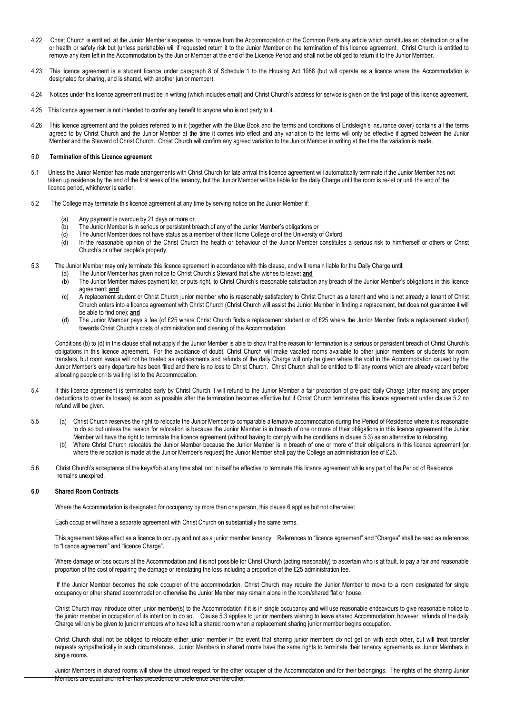- 4.22 Christ Church is entitled, at the Junior Member's expense, to remove from the Accommodation or the Common Parts any article which constitutes an obstruction or a fire or health or safety risk but (unless perishable) will if requested return it to the Junior Member on the termination of this licence agreement. Christ Church is entitled to remove any item left in the Accommodation by the Junior Member at the end of the Licence Period and shall not be obliged to return it to the Junior Member.
- 4.23 This licence agreement is a student licence under paragraph 8 of Schedule 1 to the Housing Act 1988 (but will operate as a licence where the Accommodation is designated for sharing, and is shared, with another junior member).
- 4.24 Notices under this licence agreement must be in writing (which includes email) and Christ Church's address for service is given on the first page of this licence agreement.
- 4.25 This licence agreement is not intended to confer any benefit to anyone who is not party to it.
- 4.26 This licence agreement and the policies referred to in it (together with the Blue Book and the terms and conditions of Endsleigh's insurance cover) contains all the terms agreed to by Christ Church and the Junior Member at the time it comes into effect and any variation to the terms will only be effective if agreed between the Junior Member and the Steward of Christ Church. Christ Church will confirm any agreed variation to the Junior Member in writing at the time the variation is made.

#### 5.0 **Termination of this Licence agreement**

- 5.1 Unless the Junior Member has made arrangements with Christ Church for late arrival this licence agreement will automatically terminate if the Junior Member has not taken up residence by the end of the first week of the tenancy, but the Junior Member will be liable for the daily Charge until the room is re-let or until the end of the licence period, whichever is earlier.
- 5.2 The College may terminate this licence agreement at any time by serving notice on the Junior Member if:
	- (a) Any payment is overdue by 21 days or more or
	- (b) The Junior Member is in serious or persistent breach of any of the Junior Member's obligations or (c) The Junior Member does not have status as a member of their Home College or of the University
	-
	- (c) The Junior Member does not have status as a member of their Home College or of the University of Oxford<br>(d) In the reasonable opinion of the Christ Church the health or behaviour of the Junior Member constitute In the reasonable opinion of the Christ Church the health or behaviour of the Junior Member constitutes a serious risk to him/herself or others or Christ Church's or other people's property.
- 5.3 The Junior Member may only terminate this licence agreement in accordance with this clause, and will remain liable for the Daily Charge until:
	- (a) The Junior Member has given notice to Christ Church's Steward that s/he wishes to leave; **and**<br>(b) The Junior Member makes payment for, or puts right, to Christ Church's reasonable satisfactio
		- The Junior Member makes payment for, or puts right, to Christ Church's reasonable satisfaction any breach of the Junior Member's obligations in this licence agreement; **and**
	- (c) A replacement student or Christ Church junior member who is reasonably satisfactory to Christ Church as a tenant and who is not already a tenant of Christ Church enters into a licence agreement with Christ Church (Christ Church will assist the Junior Member in finding a replacement, but does not guarantee it will be able to find one); **and**
	- (d) The Junior Member pays a fee (of £25 where Christ Church finds a replacement student or of £25 where the Junior Member finds a replacement student) towards Christ Church's costs of administration and cleaning of the Accommodation.

Conditions (b) to (d) in this clause shall not apply if the Junior Member is able to show that the reason for termination is a serious or persistent breach of Christ Church's obligations in this licence agreement. For the avoidance of doubt, Christ Church will make vacated rooms available to other junior members or students for room transfers, but room swaps will not be treated as replacements and refunds of the daily Charge will only be given where the void in the Accommodation caused by the Junior Member's early departure has been filled and there is no loss to Christ Church. Christ Church shall be entitled to fill any rooms which are already vacant before allocating people on its waiting list to the Accommodation.

- 5.4 If this licence agreement is terminated early by Christ Church it will refund to the Junior Member a fair proportion of pre-paid daily Charge (after making any proper deductions to cover its losses) as soon as possible after the termination becomes effective but if Christ Church terminates this licence agreement under clause 5.2 no refund will be given.
- 5.5 (a) Christ Church reserves the right to relocate the Junior Member to comparable alternative accommodation during the Period of Residence where it is reasonable to do so but unless the reason for relocation is because the Junior Member is in breach of one or more of their obligations in this licence agreement the Junior Member will have the right to terminate this licence agreement (without having to comply with the conditions in clause 5.3) as an alternative to relocating.
	- Where Christ Church relocates the Junior Member because the Junior Member is in breach of one or more of their obligations in this licence agreement [or where the relocation is made at the Junior Member's request] the Junior Member shall pay the College an administration fee of £25.
- 5.6 Christ Church's acceptance of the keys/fob at any time shall not in itself be effective to terminate this licence agreement while any part of the Period of Residence remains unexpired.

#### **6.0 Shared Room Contracts**

Where the Accommodation is designated for occupancy by more than one person, this clause 6 applies but not otherwise:

Each occupier will have a separate agreement with Christ Church on substantially the same terms.

This agreement takes effect as a licence to occupy and not as a junior member tenancy. References to "licence agreement" and "Charges" shall be read as references to "licence agreement" and "licence Charge".

Where damage or loss occurs at the Accommodation and it is not possible for Christ Church (acting reasonably) to ascertain who is at fault, to pay a fair and reasonable proportion of the cost of repairing the damage or reinstating the loss including a proportion of the £25 administration fee.

If the Junior Member becomes the sole occupier of the accommodation, Christ Church may require the Junior Member to move to a room designated for single occupancy or other shared accommodation otherwise the Junior Member may remain alone in the room/shared flat or house.

Christ Church may introduce other junior member(s) to the Accommodation if it is in single occupancy and will use reasonable endeavours to give reasonable notice to the junior member in occupation of its intention to do so. Clause 5.3 applies to junior members wishing to leave shared Accommodation; however, refunds of the daily Charge will only be given to junior members who have left a shared room when a replacement sharing junior member begins occupation.

Christ Church shall not be obliged to relocate either junior member in the event that sharing junior members do not get on with each other, but will treat transfer requests sympathetically in such circumstances. Junior Members in shared rooms have the same rights to terminate their tenancy agreements as Junior Members in single rooms.

Junior Members in shared rooms will show the utmost respect for the other occupier of the Accommodation and for their belongings. The rights of the sharing Junior Members are equal and neither has precedence or preference over the other.